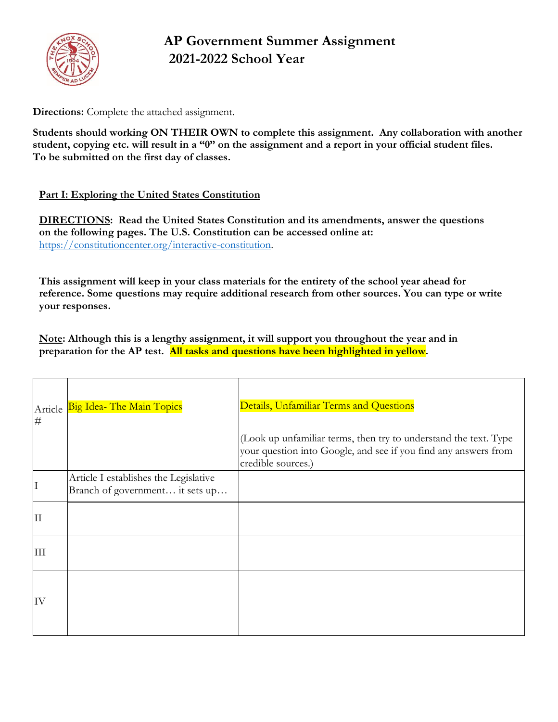

# **AP Government Summer Assignment 2021-2022 School Year**

**Directions:** Complete the attached assignment.

**Students should working ON THEIR OWN to complete this assignment. Any collaboration with another student, copying etc. will result in a "0" on the assignment and a report in your official student files. To be submitted on the first day of classes.**

## **Part I: Exploring the United States Constitution**

**DIRECTIONS: Read the United States Constitution and its amendments, answer the questions on the following pages. The U.S. Constitution can be accessed online at:** [https://constitutioncenter.org/interactive-constitution.](https://constitutioncenter.org/interactive-constitution)

**This assignment will keep in your class materials for the entirety of the school year ahead for reference. Some questions may require additional research from other sources. You can type or write your responses.**

**Note: Although this is a lengthy assignment, it will support you throughout the year and in preparation for the AP test. All tasks and questions have been highlighted in yellow.**

| $\#$ | Article Big Idea- The Main Topics                                        | Details, Unfamiliar Terms and Questions                                                                                                                   |
|------|--------------------------------------------------------------------------|-----------------------------------------------------------------------------------------------------------------------------------------------------------|
|      |                                                                          | (Look up unfamiliar terms, then try to understand the text. Type<br>your question into Google, and see if you find any answers from<br>credible sources.) |
| I    | Article I establishes the Legislative<br>Branch of government it sets up |                                                                                                                                                           |
| ΙI   |                                                                          |                                                                                                                                                           |
| III  |                                                                          |                                                                                                                                                           |
| IV   |                                                                          |                                                                                                                                                           |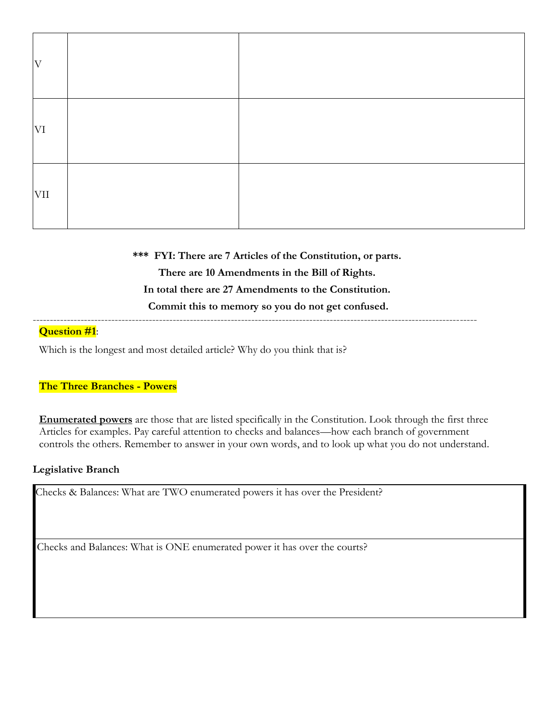| $\rm V$    |  |
|------------|--|
| VI         |  |
| <b>VII</b> |  |

**\*\*\* FYI: There are 7 Articles of the Constitution, or parts. There are 10 Amendments in the Bill of Rights. In total there are 27 Amendments to the Constitution. Commit this to memory so you do not get confused.** ----------------------------------------------------------------------------------------------------------------------------------

#### **Question #1**:

Which is the longest and most detailed article? Why do you think that is?

#### **The Three Branches - Powers**

**Enumerated powers** are those that are listed specifically in the Constitution. Look through the first three Articles for examples. Pay careful attention to checks and balances—how each branch of government controls the others. Remember to answer in your own words, and to look up what you do not understand.

#### **Legislative Branch**

Checks & Balances: What are TWO enumerated powers it has over the President?

Checks and Balances: What is ONE enumerated power it has over the courts?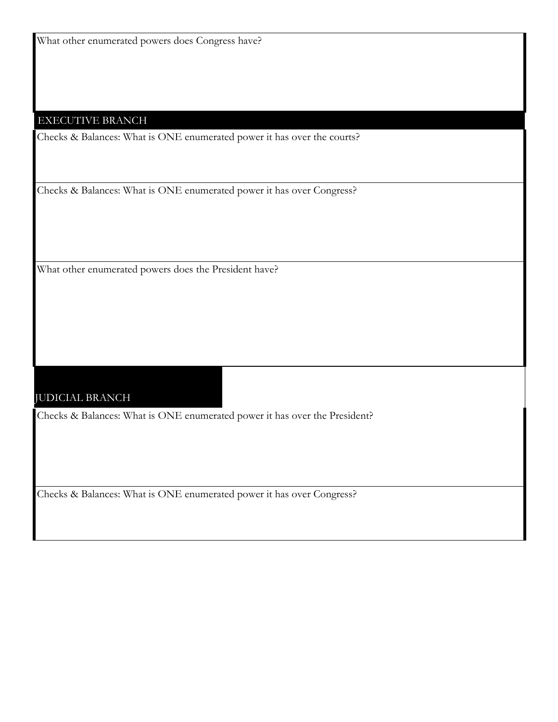What other enumerated powers does Congress have?

#### EXECUTIVE BRANCH

Checks & Balances: What is ONE enumerated power it has over the courts?

Checks & Balances: What is ONE enumerated power it has over Congress?

What other enumerated powers does the President have?

#### JUDICIAL BRANCH

Checks & Balances: What is ONE enumerated power it has over the President?

Checks & Balances: What is ONE enumerated power it has over Congress?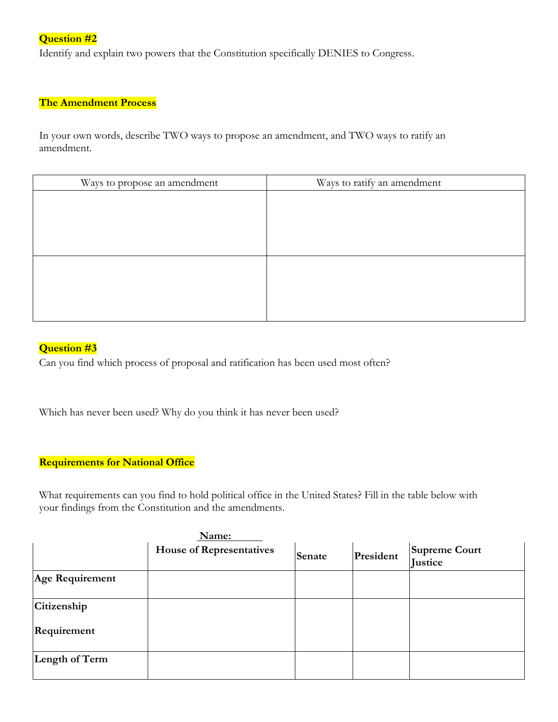# **Question #2**

Identify and explain two powers that the Constitution specifically DENIES to Congress.

## **The Amendment Process**

In your own words, describe TWO ways to propose an amendment, and TWO ways to ratify an amendment.

| Ways to propose an amendment | Ways to ratify an amendment |
|------------------------------|-----------------------------|
|                              |                             |
|                              |                             |
|                              |                             |
|                              |                             |
|                              |                             |
|                              |                             |
|                              |                             |
|                              |                             |

# **Question #3**

Can you find which process of proposal and ratification has been used most often?

Which has never been used? Why do you think it has never been used?

#### **Requirements for National Office**

What requirements can you find to hold political office in the United States? Fill in the table below with your findings from the Constitution and the amendments.

|                 | Name:                           |        |           |                                        |
|-----------------|---------------------------------|--------|-----------|----------------------------------------|
|                 | <b>House of Representatives</b> | Senate | President | <b>Supreme Court</b><br><b>Justice</b> |
| Age Requirement |                                 |        |           |                                        |
| Citizenship     |                                 |        |           |                                        |
| Requirement     |                                 |        |           |                                        |
| Length of Term  |                                 |        |           |                                        |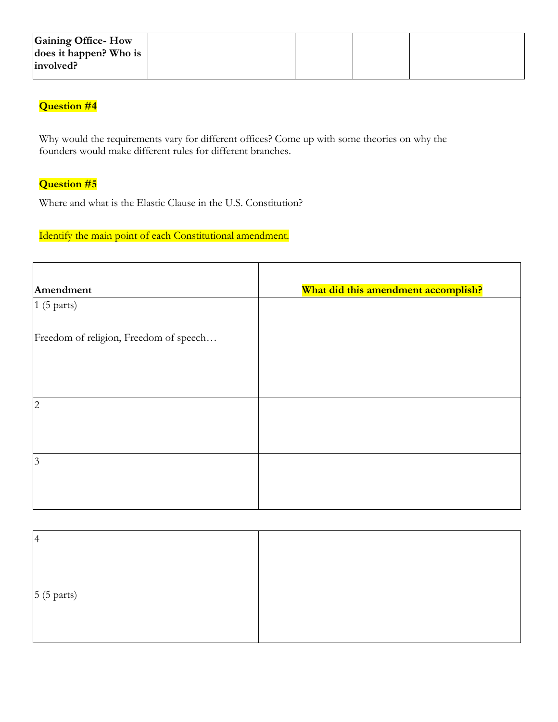| Gaining Office-How     |  |  |
|------------------------|--|--|
| does it happen? Who is |  |  |
| involved?              |  |  |
|                        |  |  |

# **Question #4**

Why would the requirements vary for different offices? Come up with some theories on why the founders would make different rules for different branches.

# **Question #5**

Where and what is the Elastic Clause in the U.S. Constitution?

## Identify the main point of each Constitutional amendment.

| Amendment                              | What did this amendment accomplish? |
|----------------------------------------|-------------------------------------|
| 1(5 parts)                             |                                     |
| Freedom of religion, Freedom of speech |                                     |
|                                        |                                     |
| $\overline{2}$                         |                                     |
|                                        |                                     |
| 3                                      |                                     |
|                                        |                                     |
|                                        |                                     |

| $\overline{4}$       |  |
|----------------------|--|
|                      |  |
|                      |  |
| $5(5 \text{ parts})$ |  |
|                      |  |
|                      |  |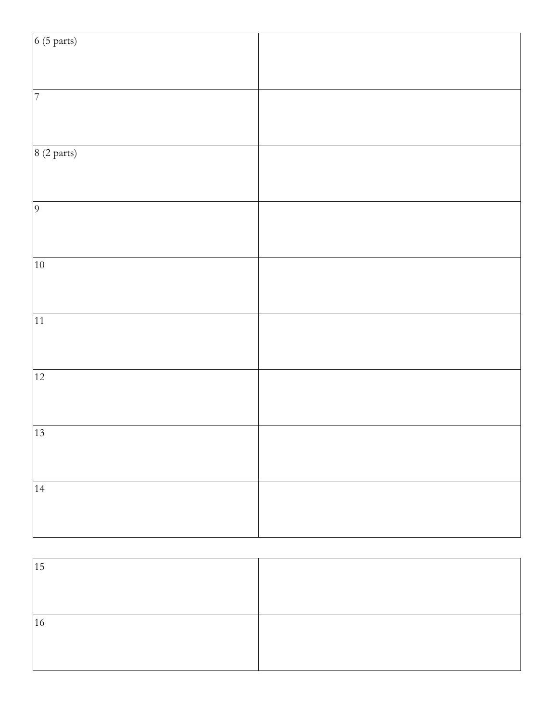| 6(5 parts)     |  |
|----------------|--|
|                |  |
|                |  |
| $\overline{7}$ |  |
|                |  |
| 8 (2 parts)    |  |
|                |  |
| $\overline{9}$ |  |
|                |  |
|                |  |
| 10             |  |
|                |  |
|                |  |
| 11             |  |
|                |  |
| 12             |  |
|                |  |
|                |  |
| 13             |  |
|                |  |
|                |  |
| 14             |  |
|                |  |
|                |  |

| 15 |  |
|----|--|
|    |  |
|    |  |
| 16 |  |
|    |  |
|    |  |
|    |  |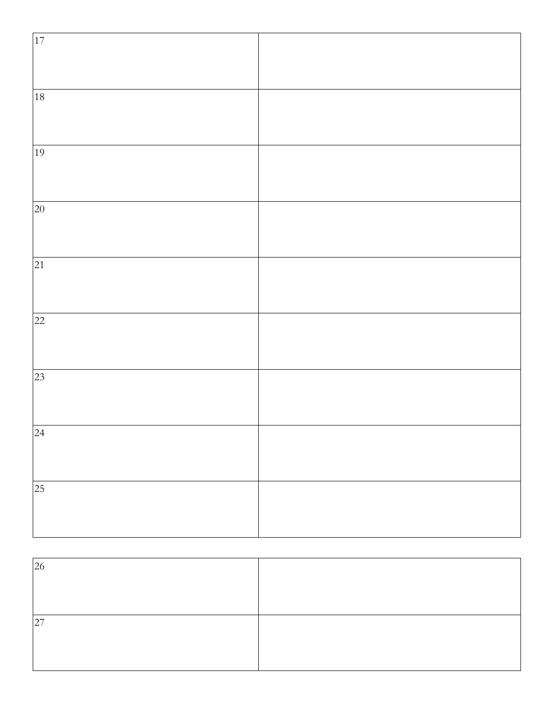| 17                  |  |
|---------------------|--|
|                     |  |
|                     |  |
| 18                  |  |
|                     |  |
|                     |  |
| 19                  |  |
|                     |  |
|                     |  |
| 20                  |  |
|                     |  |
| 21                  |  |
|                     |  |
|                     |  |
| 22                  |  |
|                     |  |
|                     |  |
| 23                  |  |
|                     |  |
|                     |  |
| $\overline{)^{24}}$ |  |
|                     |  |
|                     |  |
| 25                  |  |
|                     |  |
|                     |  |